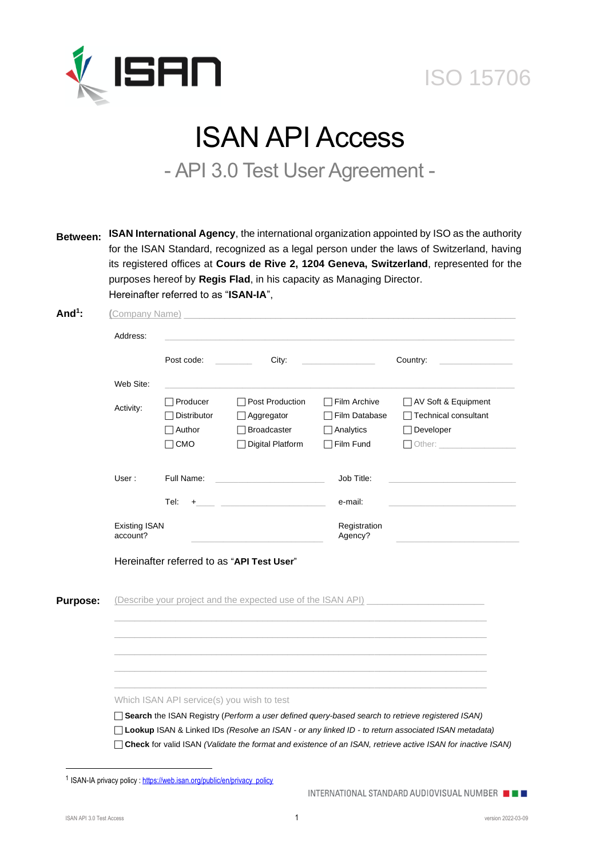

# **ISO 15706**

# ISAN API Access

- API 3.0 Test User Agreement -

**Between: ISAN International Agency**, the international organization appointed by ISO as the authority for the ISAN Standard, recognized as a legal person under the laws of Switzerland, having its registered offices at **Cours de Rive 2, 1204 Geneva, Switzerland**, represented for the purposes hereof by **Regis Flad**, in his capacity as Managing Director. Hereinafter referred to as "**ISAN-IA**",

|                 | Address:                         |                         |                                                                                                                                                                                                                               |                               |                                               |  |  |
|-----------------|----------------------------------|-------------------------|-------------------------------------------------------------------------------------------------------------------------------------------------------------------------------------------------------------------------------|-------------------------------|-----------------------------------------------|--|--|
|                 |                                  | Post code:              | City:                                                                                                                                                                                                                         |                               | Country:                                      |  |  |
|                 | Web Site:                        |                         |                                                                                                                                                                                                                               |                               |                                               |  |  |
|                 | Activity:                        | Producer<br>Distributor | Post Production<br>Aggregator                                                                                                                                                                                                 | Film Archive<br>Film Database | AV Soft & Equipment<br>□ Technical consultant |  |  |
|                 |                                  | Author<br>$\exists$ CMO | <b>Broadcaster</b><br><b>Digital Platform</b>                                                                                                                                                                                 | Analytics<br>Film Fund        | $\Box$ Developer                              |  |  |
|                 | User:                            | Full Name:              |                                                                                                                                                                                                                               | Job Title:                    |                                               |  |  |
|                 |                                  | Tel:                    | $+$ . The contract of the contract of the contract of the contract of the contract of the contract of the contract of the contract of the contract of the contract of the contract of the contract of the contract of the con | e-mail:                       |                                               |  |  |
|                 | <b>Existing ISAN</b><br>account? |                         |                                                                                                                                                                                                                               | Registration<br>Agency?       |                                               |  |  |
|                 |                                  |                         | Hereinafter referred to as "API Test User"                                                                                                                                                                                    |                               |                                               |  |  |
| <b>Purpose:</b> |                                  |                         | (Describe your project and the expected use of the ISAN API)                                                                                                                                                                  |                               |                                               |  |  |
|                 |                                  |                         |                                                                                                                                                                                                                               |                               |                                               |  |  |
|                 |                                  |                         |                                                                                                                                                                                                                               |                               |                                               |  |  |
|                 |                                  |                         |                                                                                                                                                                                                                               |                               |                                               |  |  |
|                 |                                  |                         | Which ISAN API service(s) you wish to test                                                                                                                                                                                    |                               |                                               |  |  |
|                 |                                  |                         |                                                                                                                                                                                                                               |                               |                                               |  |  |

<sup>1</sup> ISAN-IA privacy policy [: https://web.isan.org/public/en/privacy\\_policy](https://web.isan.org/public/en/privacy_policy)

INTERNATIONAL STANDARD AUDIOVISUAL NUMBER PE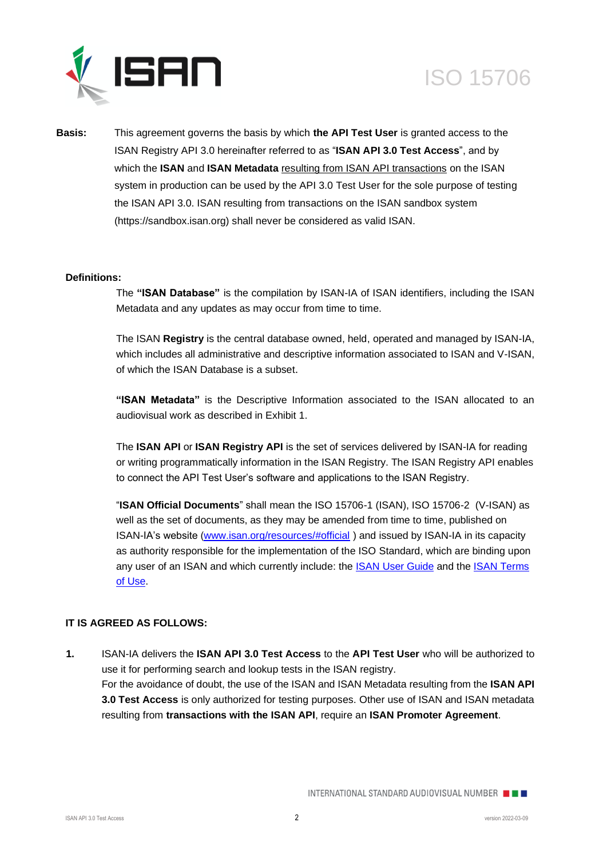



**Basis:** This agreement governs the basis by which **the API Test User** is granted access to the ISAN Registry API 3.0 hereinafter referred to as "**ISAN API 3.0 Test Access**", and by which the **ISAN** and **ISAN Metadata** resulting from ISAN API transactions on the ISAN system in production can be used by the API 3.0 Test User for the sole purpose of testing the ISAN API 3.0. ISAN resulting from transactions on the ISAN sandbox system (https://sandbox.isan.org) shall never be considered as valid ISAN.

#### **Definitions:**

The **"ISAN Database"** is the compilation by ISAN-IA of ISAN identifiers, including the ISAN Metadata and any updates as may occur from time to time.

The ISAN **Registry** is the central database owned, held, operated and managed by ISAN-IA, which includes all administrative and descriptive information associated to ISAN and V-ISAN, of which the ISAN Database is a subset.

**"ISAN Metadata"** is the Descriptive Information associated to the ISAN allocated to an audiovisual work as described in Exhibit 1.

The **ISAN API** or **ISAN Registry API** is the set of services delivered by ISAN-IA for reading or writing programmatically information in the ISAN Registry. The ISAN Registry API enables to connect the API Test User's software and applications to the ISAN Registry.

"**ISAN Official Documents**" shall mean the ISO 15706-1 (ISAN), ISO 15706-2 (V-ISAN) as well as the set of documents, as they may be amended from time to time, published on ISAN-IA's website [\(www.isan.org/resources/#official](http://www.isan.org/resources/#official)) and issued by ISAN-IA in its capacity as authority responsible for the implementation of the ISO Standard, which are binding upon any user of an ISAN and which currently include: the [ISAN User](http://www.isan.org/docs/isan_user_guide.pdf) Guide and the [ISAN Terms](http://www.isan.org/docs/ISAN_Terms_of_Use.pdf)  [of Use.](http://www.isan.org/docs/ISAN_Terms_of_Use.pdf)

## **IT IS AGREED AS FOLLOWS:**

**1.** ISAN-IA delivers the **ISAN API 3.0 Test Access** to the **API Test User** who will be authorized to use it for performing search and lookup tests in the ISAN registry. For the avoidance of doubt, the use of the ISAN and ISAN Metadata resulting from the **ISAN API 3.0 Test Access** is only authorized for testing purposes. Other use of ISAN and ISAN metadata resulting from **transactions with the ISAN API**, require an **ISAN Promoter Agreement**.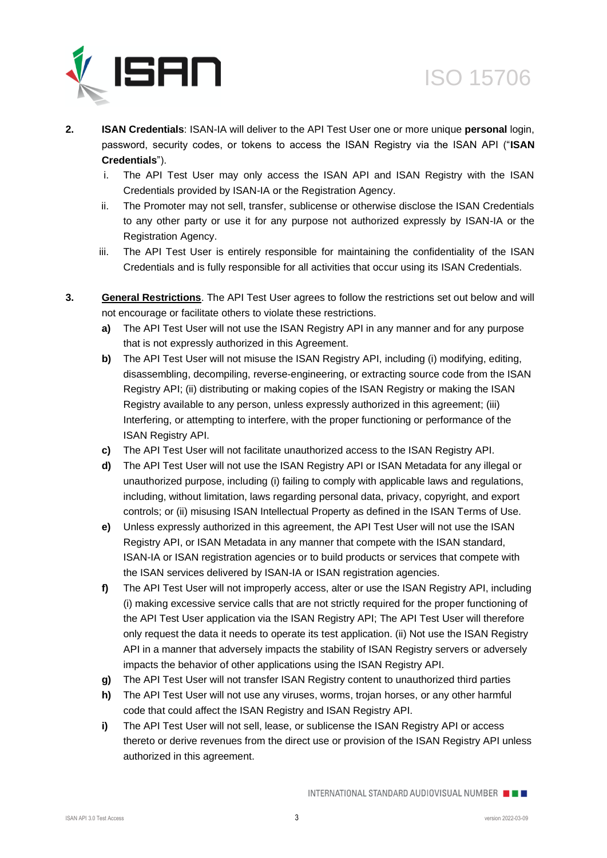

- **2. ISAN Credentials**: ISAN-IA will deliver to the API Test User one or more unique **personal** login, password, security codes, or tokens to access the ISAN Registry via the ISAN API ("**ISAN Credentials**").
	- i. The API Test User may only access the ISAN API and ISAN Registry with the ISAN Credentials provided by ISAN-IA or the Registration Agency.
	- ii. The Promoter may not sell, transfer, sublicense or otherwise disclose the ISAN Credentials to any other party or use it for any purpose not authorized expressly by ISAN-IA or the Registration Agency.
	- iii. The API Test User is entirely responsible for maintaining the confidentiality of the ISAN Credentials and is fully responsible for all activities that occur using its ISAN Credentials.
- **3. General Restrictions**. The API Test User agrees to follow the restrictions set out below and will not encourage or facilitate others to violate these restrictions.
	- **a)** The API Test User will not use the ISAN Registry API in any manner and for any purpose that is not expressly authorized in this Agreement.
	- **b)** The API Test User will not misuse the ISAN Registry API, including (i) modifying, editing, disassembling, decompiling, reverse-engineering, or extracting source code from the ISAN Registry API; (ii) distributing or making copies of the ISAN Registry or making the ISAN Registry available to any person, unless expressly authorized in this agreement; (iii) Interfering, or attempting to interfere, with the proper functioning or performance of the ISAN Registry API.
	- **c)** The API Test User will not facilitate unauthorized access to the ISAN Registry API.
	- **d)** The API Test User will not use the ISAN Registry API or ISAN Metadata for any illegal or unauthorized purpose, including (i) failing to comply with applicable laws and regulations, including, without limitation, laws regarding personal data, privacy, copyright, and export controls; or (ii) misusing ISAN Intellectual Property as defined in the ISAN Terms of Use.
	- **e)** Unless expressly authorized in this agreement, the API Test User will not use the ISAN Registry API, or ISAN Metadata in any manner that compete with the ISAN standard, ISAN-IA or ISAN registration agencies or to build products or services that compete with the ISAN services delivered by ISAN-IA or ISAN registration agencies.
	- **f)** The API Test User will not improperly access, alter or use the ISAN Registry API, including (i) making excessive service calls that are not strictly required for the proper functioning of the API Test User application via the ISAN Registry API; The API Test User will therefore only request the data it needs to operate its test application. (ii) Not use the ISAN Registry API in a manner that adversely impacts the stability of ISAN Registry servers or adversely impacts the behavior of other applications using the ISAN Registry API.
	- **g)** The API Test User will not transfer ISAN Registry content to unauthorized third parties
	- **h)** The API Test User will not use any viruses, worms, trojan horses, or any other harmful code that could affect the ISAN Registry and ISAN Registry API.
	- **i)** The API Test User will not sell, lease, or sublicense the ISAN Registry API or access thereto or derive revenues from the direct use or provision of the ISAN Registry API unless authorized in this agreement.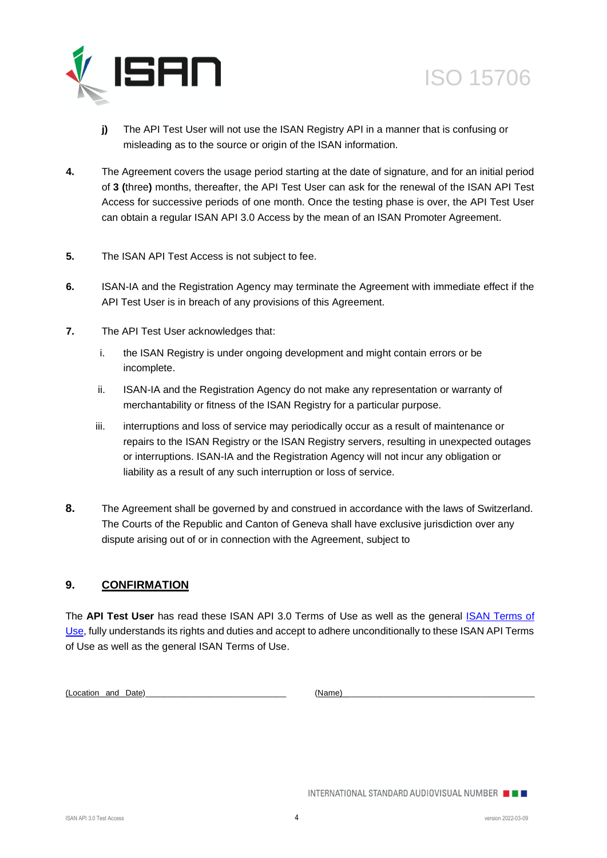



- **j)** The API Test User will not use the ISAN Registry API in a manner that is confusing or misleading as to the source or origin of the ISAN information.
- **4.** The Agreement covers the usage period starting at the date of signature, and for an initial period of **3 (**three**)** months, thereafter, the API Test User can ask for the renewal of the ISAN API Test Access for successive periods of one month. Once the testing phase is over, the API Test User can obtain a regular ISAN API 3.0 Access by the mean of an ISAN Promoter Agreement.
- **5.** The ISAN API Test Access is not subject to fee.
- **6.** ISAN-IA and the Registration Agency may terminate the Agreement with immediate effect if the API Test User is in breach of any provisions of this Agreement.
- **7.** The API Test User acknowledges that:
	- i. the ISAN Registry is under ongoing development and might contain errors or be incomplete.
	- ii. ISAN-IA and the Registration Agency do not make any representation or warranty of merchantability or fitness of the ISAN Registry for a particular purpose.
	- iii. interruptions and loss of service may periodically occur as a result of maintenance or repairs to the ISAN Registry or the ISAN Registry servers, resulting in unexpected outages or interruptions. ISAN-IA and the Registration Agency will not incur any obligation or liability as a result of any such interruption or loss of service.
- **8.** The Agreement shall be governed by and construed in accordance with the laws of Switzerland. The Courts of the Republic and Canton of Geneva shall have exclusive jurisdiction over any dispute arising out of or in connection with the Agreement, subject to

### **9. CONFIRMATION**

The API Test User has read these ISAN API 3.0 Terms of Use as well as the general **ISAN Terms of** [Use,](http://www.isan.org/docs/ISAN_Terms_of_Use.pdf) fully understands its rights and duties and accept to adhere unconditionally to these ISAN API Terms of Use as well as the general ISAN Terms of Use.

(Location and Date) (Name)